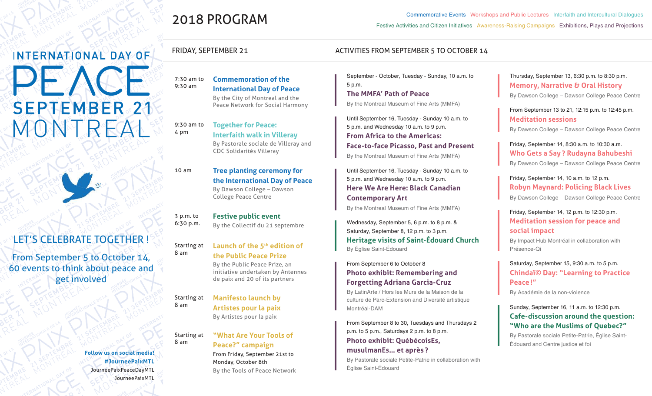# 2018 PROGRAM

**Commemoration of the International Day of Peace**  By the City of Montreal and the Peace Network for Social Harmony

**Together for Peace:** 

CDC Solidarités Villeray

College Peace Centre

**Festive public event**

**Interfaith walk in Villeray** By Pastorale sociale de Villeray and

**the International Day of Peace** By Dawson College – Dawson

Commemorative Events Workshops and Public Lectures Interfaith and Intercultural Dialogues Festive Activities and Citizen Initiatives Awareness-Raising Campaigns Exhibitions, Plays and Projections

#### FRIDAY, SEPTEMBER 21 ACTIVITIES FROM SEPTEMBER 5 TO OCTOBER 14

September - October, Tuesday - Sunday, 10 a.m. to 5 p.m.

**The MMFA' Path of Peace**  By the Montreal Museum of Fine Arts (MMFA)

Until September 16, Tuesday - Sunday 10 a.m. to 5 p.m. and Wednesday 10 a.m. to 9 p.m. **From Africa to the Americas: Face-to-face Picasso, Past and Present** By the Montreal Museum of Fine Arts (MMFA)

Until September 16, Tuesday - Sunday 10 a.m. to 5 p.m. and Wednesday 10 a.m. to 9 p.m. **Here We Are Here: Black Canadian Contemporary Art**

By the Montreal Museum of Fine Arts (MMFA)

Wednesday, September 5, 6 p.m. to 8 p.m. & Saturday, September 8, 12 p.m. to 3 p.m. **Heritage visits of Saint-Édouard Church** By Église Saint-Édouard

From September 6 to October 8 **Photo exhibit: Remembering and Forgetting Adriana Garcia-Cruz**

By LatinArte / Hors les Murs de la Maison de la culture de Parc-Extension and Diversité artistique Montréal-DAM

From September 8 to 30, Tuesdays and Thursdays 2 p.m. to 5 p.m., Saturdays 2 p.m. to 8 p.m. **Photo exhibit: QuébécoisEs, musulmanEs… et après ?**

By Pastorale sociale Petite-Patrie in collaboration with Église Saint-Édouard

#### Thursday, September 13, 6:30 p.m. to 8:30 p.m. **Memory, Narrative & Oral History**

By Dawson College – Dawson College Peace Centre

From September 13 to 21, 12:15 p.m. to 12:45 p.m. **Meditation sessions** 

By Dawson College – Dawson College Peace Centre

Friday, September 14, 8:30 a.m. to 10:30 a.m. **Who Gets a Say ? Rudayna Bahubeshi** By Dawson College – Dawson College Peace Centre

Friday, September 14, 10 a.m. to 12 p.m. **Robyn Maynard: Policing Black Lives** By Dawson College – Dawson College Peace Centre

# Friday, September 14, 12 p.m. to 12:30 p.m. **Meditation session for peace and social impact**

By Impact Hub Montréal in collaboration with Présence-Qi

## Saturday, September 15, 9:30 a.m. to 5 p.m. **Chindaï© Day: "Learning to Practice Peace !"**

By Académie de la non-violence

## Sunday, September 16, 11 a.m. to 12:30 p.m. **Cafe-discussion around the question: "Who are the Muslims of Quebec?"**

By Pastorale sociale Petite-Patrie, Église Saint-Édouard and Centre justice et foi

10 am **Tree planting ceremony for** 

Starting at 8 am

**the Public Peace Prize** By the Public Peace Prize, an initiative undertaken by Antennes de paix and 20 of its partners

Starting at **Manifesto launch by Artistes pour la paix** By Artistes pour la paix

> **"What Are Your Tools of Peace?" campaign**  From Friday, September 21st to Monday, October 8th By the Tools of Peace Network

#### Starting at 8 am

8 am

**Follow us on social media! #JourneePaixMTL** JourneePaixPeaceDayMTL JourneePaixMTL

LET'S CELEBRATE TOGETHER !

**INTERNATIONAL DAY OF** 

PEACE

**SEPTEMBER 21** 

MONTREAL

From September 5 to October 14, 60 events to think about peace and get involved

7:30 am to 9:30 am

9:30 am to 4 pm

3 p.m. to 6:30 p.m.

By the Collectif du 21 septembre **Launch of the 5th edition of**